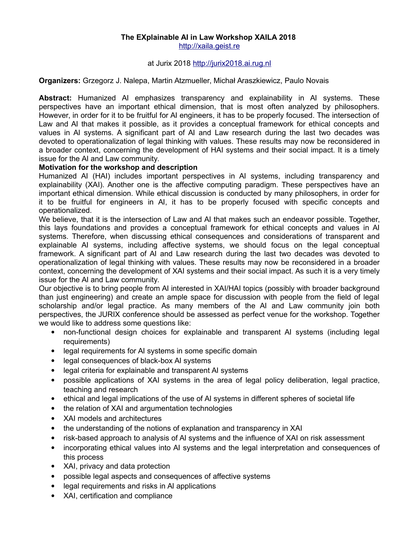### **The EXplainable AI in Law Workshop XAILA 2018**  [http://xaila.geist.re](http://xaila.geist.re/)

# at Jurix 2018 [http://jurix2018.ai.rug.nl](http://jurix2018.ai.rug.nl/)

### **Organizers:** Grzegorz J. Nalepa, Martin Atzmueller, Michał Araszkiewicz, Paulo Novais

**Abstract:** Humanized AI emphasizes transparency and explainability in AI systems. These perspectives have an important ethical dimension, that is most often analyzed by philosophers. However, in order for it to be fruitful for AI engineers, it has to be properly focused. The intersection of Law and AI that makes it possible, as it provides a conceptual framework for ethical concepts and values in AI systems. A significant part of AI and Law research during the last two decades was devoted to operationalization of legal thinking with values. These results may now be reconsidered in a broader context, concerning the development of HAI systems and their social impact. It is a timely issue for the AI and Law community.

# **Motivation for the workshop and description**

Humanized AI (HAI) includes important perspectives in AI systems, including transparency and explainability (XAI). Another one is the affective computing paradigm. These perspectives have an important ethical dimension. While ethical discussion is conducted by many philosophers, in order for it to be fruitful for engineers in AI, it has to be properly focused with specific concepts and operationalized.

We believe, that it is the intersection of Law and AI that makes such an endeavor possible. Together, this lays foundations and provides a conceptual framework for ethical concepts and values in AI systems. Therefore, when discussing ethical consequences and considerations of transparent and explainable AI systems, including affective systems, we should focus on the legal conceptual framework. A significant part of AI and Law research during the last two decades was devoted to operationalization of legal thinking with values. These results may now be reconsidered in a broader context, concerning the development of XAI systems and their social impact. As such it is a very timely issue for the AI and Law community.

Our objective is to bring people from AI interested in XAI/HAI topics (possibly with broader background than just engineering) and create an ample space for discussion with people from the field of legal scholarship and/or legal practice. As many members of the AI and Law community join both perspectives, the JURIX conference should be assessed as perfect venue for the workshop. Together we would like to address some questions like:

- non-functional design choices for explainable and transparent AI systems (including legal requirements)
- legal requirements for AI systems in some specific domain
- legal consequences of black-box AI systems
- legal criteria for explainable and transparent AI systems
- possible applications of XAI systems in the area of legal policy deliberation, legal practice, teaching and research
- ethical and legal implications of the use of AI systems in different spheres of societal life
- the relation of XAI and argumentation technologies
- XAI models and architectures
- the understanding of the notions of explanation and transparency in XAI
- risk-based approach to analysis of AI systems and the influence of XAI on risk assessment
- incorporating ethical values into AI systems and the legal interpretation and consequences of this process
- XAI, privacy and data protection
- possible legal aspects and consequences of affective systems
- legal requirements and risks in AI applications
- XAI, certification and compliance